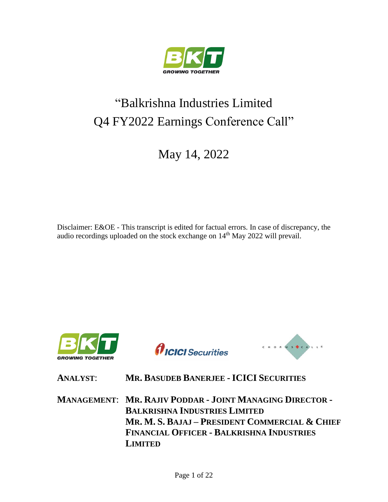

# "Balkrishna Industries Limited Q4 FY2022 Earnings Conference Call"

May 14, 2022

Disclaimer: E&OE - This transcript is edited for factual errors. In case of discrepancy, the audio recordings uploaded on the stock exchange on 14<sup>th</sup> May 2022 will prevail.



*AICICI* Securities



**ANALYST**: **MR. BASUDEB BANERJEE - ICICI SECURITIES**

**MANAGEMENT**: **MR. RAJIV PODDAR - JOINT MANAGING DIRECTOR - BALKRISHNA INDUSTRIES LIMITED MR. M. S. BAJAJ – PRESIDENT COMMERCIAL & CHIEF FINANCIAL OFFICER - BALKRISHNA INDUSTRIES LIMITED**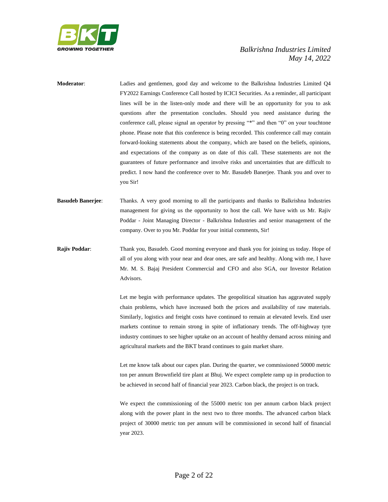

- **Moderator**: Ladies and gentlemen, good day and welcome to the Balkrishna Industries Limited Q4 FY2022 Earnings Conference Call hosted by ICICI Securities. As a reminder, all participant lines will be in the listen-only mode and there will be an opportunity for you to ask questions after the presentation concludes. Should you need assistance during the conference call, please signal an operator by pressing "\*" and then "0" on your touchtone phone. Please note that this conference is being recorded. This conference call may contain forward-looking statements about the company, which are based on the beliefs, opinions, and expectations of the company as on date of this call. These statements are not the guarantees of future performance and involve risks and uncertainties that are difficult to predict. I now hand the conference over to Mr. Basudeb Banerjee. Thank you and over to you Sir!
- **Basudeb Banerjee**: Thanks. A very good morning to all the participants and thanks to Balkrishna Industries management for giving us the opportunity to host the call. We have with us Mr. Rajiv Poddar - Joint Managing Director - Balkrishna Industries and senior management of the company. Over to you Mr. Poddar for your initial comments, Sir!
- **Rajiv Poddar**: Thank you, Basudeb. Good morning everyone and thank you for joining us today. Hope of all of you along with your near and dear ones, are safe and healthy. Along with me, I have Mr. M. S. Bajaj President Commercial and CFO and also SGA, our Investor Relation Advisors.

Let me begin with performance updates. The geopolitical situation has aggravated supply chain problems, which have increased both the prices and availability of raw materials. Similarly, logistics and freight costs have continued to remain at elevated levels. End user markets continue to remain strong in spite of inflationary trends. The off-highway tyre industry continues to see higher uptake on an account of healthy demand across mining and agricultural markets and the BKT brand continues to gain market share.

Let me know talk about our capex plan. During the quarter, we commissioned 50000 metric ton per annum Brownfield tire plant at Bhuj. We expect complete ramp up in production to be achieved in second half of financial year 2023. Carbon black, the project is on track.

We expect the commissioning of the 55000 metric ton per annum carbon black project along with the power plant in the next two to three months. The advanced carbon black project of 30000 metric ton per annum will be commissioned in second half of financial year 2023.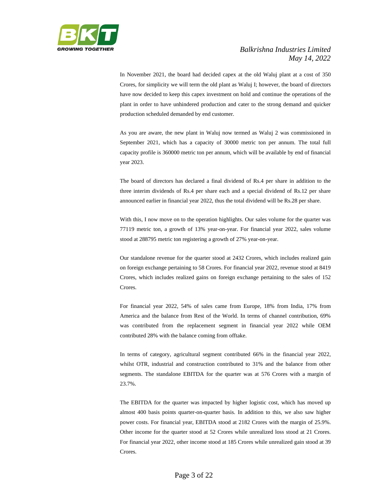

In November 2021, the board had decided capex at the old Waluj plant at a cost of 350 Crores, for simplicity we will term the old plant as Waluj I; however, the board of directors have now decided to keep this capex investment on hold and continue the operations of the plant in order to have unhindered production and cater to the strong demand and quicker production scheduled demanded by end customer.

As you are aware, the new plant in Waluj now termed as Waluj 2 was commissioned in September 2021, which has a capacity of 30000 metric ton per annum. The total full capacity profile is 360000 metric ton per annum, which will be available by end of financial year 2023.

The board of directors has declared a final dividend of Rs.4 per share in addition to the three interim dividends of Rs.4 per share each and a special dividend of Rs.12 per share announced earlier in financial year 2022, thus the total dividend will be Rs.28 per share.

With this, I now move on to the operation highlights. Our sales volume for the quarter was 77119 metric ton, a growth of 13% year-on-year. For financial year 2022, sales volume stood at 288795 metric ton registering a growth of 27% year-on-year.

Our standalone revenue for the quarter stood at 2432 Crores, which includes realized gain on foreign exchange pertaining to 58 Crores. For financial year 2022, revenue stood at 8419 Crores, which includes realized gains on foreign exchange pertaining to the sales of 152 Crores.

For financial year 2022, 54% of sales came from Europe, 18% from India, 17% from America and the balance from Rest of the World. In terms of channel contribution, 69% was contributed from the replacement segment in financial year 2022 while OEM contributed 28% with the balance coming from offtake.

In terms of category, agricultural segment contributed 66% in the financial year 2022, whilst OTR, industrial and construction contributed to 31% and the balance from other segments. The standalone EBITDA for the quarter was at 576 Crores with a margin of 23.7%.

The EBITDA for the quarter was impacted by higher logistic cost, which has moved up almost 400 basis points quarter-on-quarter basis. In addition to this, we also saw higher power costs. For financial year, EBITDA stood at 2182 Crores with the margin of 25.9%. Other income for the quarter stood at 52 Crores while unrealized loss stood at 21 Crores. For financial year 2022, other income stood at 185 Crores while unrealized gain stood at 39 Crores.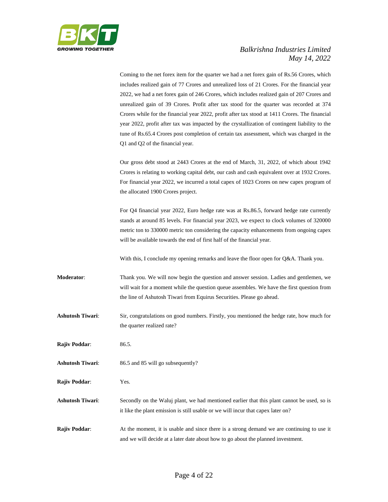

Coming to the net forex item for the quarter we had a net forex gain of Rs.56 Crores, which includes realized gain of 77 Crores and unrealized loss of 21 Crores. For the financial year 2022, we had a net forex gain of 246 Crores, which includes realized gain of 207 Crores and unrealized gain of 39 Crores. Profit after tax stood for the quarter was recorded at 374 Crores while for the financial year 2022, profit after tax stood at 1411 Crores. The financial year 2022, profit after tax was impacted by the crystallization of contingent liability to the tune of Rs.65.4 Crores post completion of certain tax assessment, which was charged in the Q1 and Q2 of the financial year.

Our gross debt stood at 2443 Crores at the end of March, 31, 2022, of which about 1942 Crores is relating to working capital debt, our cash and cash equivalent over at 1932 Crores. For financial year 2022, we incurred a total capex of 1023 Crores on new capex program of the allocated 1900 Crores project.

For Q4 financial year 2022, Euro hedge rate was at Rs.86.5, forward hedge rate currently stands at around 85 levels. For financial year 2023, we expect to clock volumes of 320000 metric ton to 330000 metric ton considering the capacity enhancements from ongoing capex will be available towards the end of first half of the financial year.

With this, I conclude my opening remarks and leave the floor open for Q&A. Thank you.

**Moderator**: Thank you. We will now begin the question and answer session. Ladies and gentlemen, we will wait for a moment while the question queue assembles. We have the first question from the line of Ashutosh Tiwari from Equirus Securities. Please go ahead.

**Ashutosh Tiwari**: Sir, congratulations on good numbers. Firstly, you mentioned the hedge rate, how much for the quarter realized rate?

**Rajiv Poddar**: 86.5.

**Ashutosh Tiwari**: 86.5 and 85 will go subsequently?

**Rajiv Poddar**: Yes.

**Ashutosh Tiwari**: Secondly on the Waluj plant, we had mentioned earlier that this plant cannot be used, so is it like the plant emission is still usable or we will incur that capex later on?

**Rajiv Poddar:** At the moment, it is usable and since there is a strong demand we are continuing to use it and we will decide at a later date about how to go about the planned investment.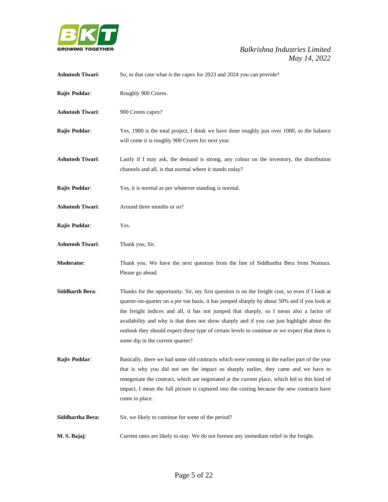

| <b>Ashutosh Tiwari:</b> | So, in that case what is the capex for 2023 and 2024 you can provide?                                                                                                                                                                                                                                                                                                                                                                                                                                                          |
|-------------------------|--------------------------------------------------------------------------------------------------------------------------------------------------------------------------------------------------------------------------------------------------------------------------------------------------------------------------------------------------------------------------------------------------------------------------------------------------------------------------------------------------------------------------------|
| Rajiv Poddar:           | Roughly 900 Crores.                                                                                                                                                                                                                                                                                                                                                                                                                                                                                                            |
| <b>Ashutosh Tiwari:</b> | 900 Crores capex?                                                                                                                                                                                                                                                                                                                                                                                                                                                                                                              |
| Rajiv Poddar:           | Yes, 1900 is the total project, I think we have done roughly just over 1000, so the balance<br>will come it is roughly 900 Crores for next year.                                                                                                                                                                                                                                                                                                                                                                               |
| <b>Ashutosh Tiwari:</b> | Lastly if I may ask, the demand is strong, any colour on the inventory, the distribution<br>channels and all, is that normal where it stands today?                                                                                                                                                                                                                                                                                                                                                                            |
| Rajiv Poddar:           | Yes, it is normal as per whatever standing is normal.                                                                                                                                                                                                                                                                                                                                                                                                                                                                          |
| <b>Ashutosh Tiwari:</b> | Around three months or so?                                                                                                                                                                                                                                                                                                                                                                                                                                                                                                     |
| Rajiv Poddar:           | Yes.                                                                                                                                                                                                                                                                                                                                                                                                                                                                                                                           |
| <b>Ashutosh Tiwari:</b> | Thank you, Sir.                                                                                                                                                                                                                                                                                                                                                                                                                                                                                                                |
| Moderator:              | Thank you. We have the next question from the line of Siddhartha Bera from Nomura.<br>Please go ahead.                                                                                                                                                                                                                                                                                                                                                                                                                         |
| <b>Siddharth Bera:</b>  | Thanks for the opportunity. Sir, my first question is on the freight cost, so even if I look at<br>quarter-on-quarter on a per ton basis, it has jumped sharply by about 50% and if you look at<br>the freight indices and all, it has not jumped that sharply, so I mean also a factor of<br>availability and why is that does not show sharply and if you can just highlight about the<br>outlook they should expect these type of certain levels to continue or we expect that there is<br>some dip in the current quarter? |
| Rajiv Poddar:           | Basically, there we had some old contracts which were running in the earlier part of the year<br>that is why you did not see the impact so sharply earlier, they came and we have to<br>renegotiate the contract, which are negotiated at the current place, which led to this kind of<br>impact, I mean the full picture is captured into the costing because the new contracts have<br>come in place.                                                                                                                        |
| Siddhartha Bera:        | Sir, we likely to continue for some of the period?                                                                                                                                                                                                                                                                                                                                                                                                                                                                             |
| M. S. Bajaj:            | Current rates are likely to stay. We do not foresee any immediate relief in the freight.                                                                                                                                                                                                                                                                                                                                                                                                                                       |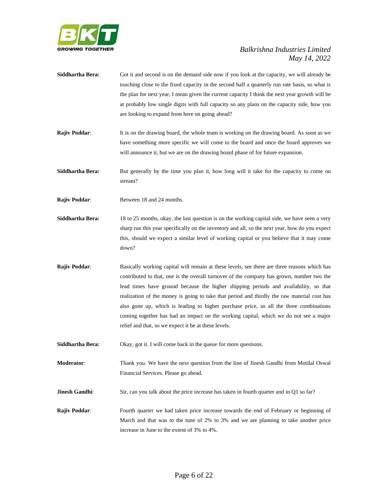

- **Siddhartha Bera:** Got it and second is on the demand side now if you look at the capacity, we will already be touching close to the fixed capacity in the second half a quarterly run rate basis, so what is the plan for next year, I mean given the current capacity I think the next year growth will be at probably low single digits with full capacity so any plans on the capacity side, how you are looking to expand from here on going ahead?
- **Rajiv Poddar:** It is on the drawing board, the whole team is working on the drawing board. As soon as we have something more specific we will come to the board and once the board approves we will announce it, but we are on the drawing board phase of for future expansion.
- **Siddhartha Bera:** But generally by the time you plan it, how long will it take for the capacity to come on stream?

**Rajiv Poddar:** Between 18 and 24 months.

- **Siddhartha Bera:** 18 to 25 months, okay, the last question is on the working capital side, we have seen a very sharp run this year specifically on the inventory and all, so the next year, how do you expect this, should we expect a similar level of working capital or you believe that it may come down?
- **Rajiv Poddar:** Basically working capital will remain at these levels, see there are three reasons which has contributed to that, one is the overall turnover of the company has grown, number two the lead times have ground because the higher shipping periods and availability, so that realization of the money is going to take that period and thirdly the raw material cost has also gone up, which is leading to higher purchase price, so all the three combinations coming together has had an impact on the working capital, which we do not see a major relief and that, so we expect it be at these levels.

**Siddhartha Bera:** Okay, got it. I will come back in the queue for more questions.

**Moderator**: Thank you. We have the next question from the line of Jinesh Gandhi from Motilal Oswal Financial Services. Please go ahead.

**Jinesh Gandhi:** Sir, can you talk about the price increase has taken in fourth quarter and in Q1 so far?

**Rajiv Poddar:** Fourth quarter we had taken price increase towards the end of February or beginning of March and that was to the tune of 2% to 3% and we are planning to take another price increase in June to the extent of 3% to 4%.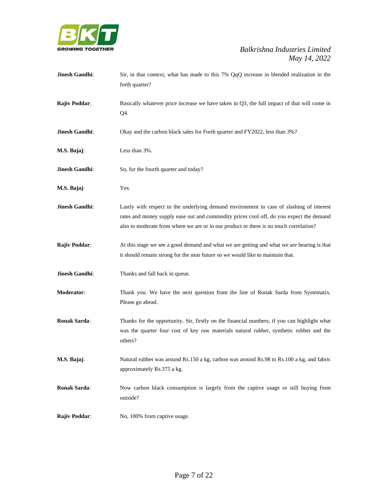

| Jinesh Gandhi:       | Sir, in that context, what has made to this 7% QqQ increase in blended realization in the<br>forth quarter?                                                                                                                                                                  |
|----------------------|------------------------------------------------------------------------------------------------------------------------------------------------------------------------------------------------------------------------------------------------------------------------------|
| <b>Rajiv Poddar:</b> | Basically whatever price increase we have taken in Q3, the full impact of that will come in<br>Q4.                                                                                                                                                                           |
| Jinesh Gandhi:       | Okay and the carbon black sales for Forth quarter and FY2022, less than 3%?                                                                                                                                                                                                  |
| M.S. Bajaj:          | Less than 3%.                                                                                                                                                                                                                                                                |
| Jinesh Gandhi:       | So, for the fourth quarter and today?                                                                                                                                                                                                                                        |
| M.S. Bajaj:          | Yes.                                                                                                                                                                                                                                                                         |
| Jinesh Gandhi:       | Lastly with respect to the underlying demand environment in case of slashing of interest<br>rates and money supply ease out and commodity prices cool off, do you expect the demand<br>also to moderate from where we are or in our product or there is no much correlation? |
| Rajiv Poddar:        | At this stage we see a good demand and what we are getting and what we are hearing is that<br>it should remain strong for the near future so we would like to maintain that.                                                                                                 |
| Jinesh Gandhi:       | Thanks and fall back in queue.                                                                                                                                                                                                                                               |
| Moderator:           | Thank you. We have the next question from the line of Ronak Sarda from Systematix.<br>Please go ahead.                                                                                                                                                                       |
| <b>Ronak Sarda:</b>  | Thanks for the opportunity. Sir, firstly on the financial numbers, if you can highlight what<br>was the quarter four cost of key raw materials natural rubber, synthetic rubber and the<br>others?                                                                           |
| M.S. Bajaj:          | Natural rubber was around Rs.150 a kg, carbon was around Rs.98 to Rs.100 a kg, and fabric<br>approximately Rs.375 a kg.                                                                                                                                                      |
| <b>Ronak Sarda:</b>  | Now carbon black consumption is largely from the captive usage or still buying from<br>outside?                                                                                                                                                                              |
| <b>Rajiv Poddar:</b> | No, 100% from captive usage.                                                                                                                                                                                                                                                 |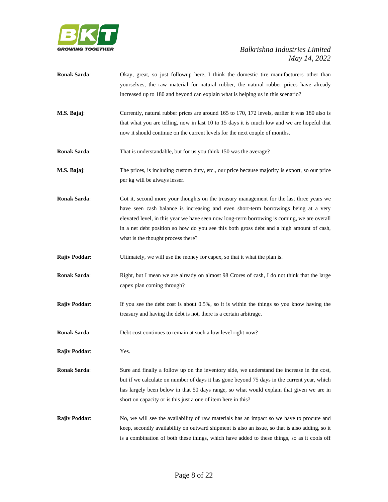

- **Ronak Sarda**: Okay, great, so just followup here, I think the domestic tire manufacturers other than yourselves, the raw material for natural rubber, the natural rubber prices have already increased up to 180 and beyond can explain what is helping us in this scenario?
- **M.S. Bajaj**: Currently, natural rubber prices are around 165 to 170, 172 levels, earlier it was 180 also is that what you are telling, now in last 10 to 15 days it is much low and we are hopeful that now it should continue on the current levels for the next couple of months.

**Ronak Sarda:** That is understandable, but for us you think 150 was the average?

- **M.S. Bajaj**: The prices, is including custom duty, etc., our price because majority is export, so our price per kg will be always lesser.
- **Ronak Sarda:** Got it, second more your thoughts on the treasury management for the last three years we have seen cash balance is increasing and even short-term borrowings being at a very elevated level, in this year we have seen now long-term borrowing is coming, we are overall in a net debt position so how do you see this both gross debt and a high amount of cash, what is the thought process there?
- **Rajiv Poddar:** Ultimately, we will use the money for capex, so that it what the plan is.
- **Ronak Sarda:** Right, but I mean we are already on almost 98 Crores of cash, I do not think that the large capex plan coming through?
- **Rajiv Poddar:** If you see the debt cost is about 0.5%, so it is within the things so you know having the treasury and having the debt is not, there is a certain arbitrage.

**Ronak Sarda:** Debt cost continues to remain at such a low level right now?

**Rajiv Poddar**: Yes.

- **Ronak Sarda:** Sure and finally a follow up on the inventory side, we understand the increase in the cost, but if we calculate on number of days it has gone beyond 75 days in the current year, which has largely been below in that 50 days range, so what would explain that given we are in short on capacity or is this just a one of item here in this?
- **Rajiv Poddar:** No, we will see the availability of raw materials has an impact so we have to procure and keep, secondly availability on outward shipment is also an issue, so that is also adding, so it is a combination of both these things, which have added to these things, so as it cools off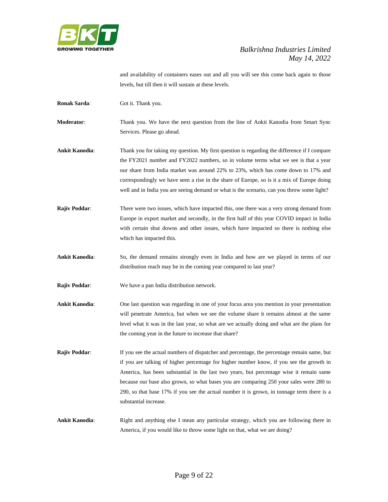

and availability of containers eases out and all you will see this come back again to those levels, but till then it will sustain at these levels.

**Ronak Sarda:** Got it. Thank you.

**Moderator**: Thank you. We have the next question from the line of Ankit Kanodia from Smart Sync Services. Please go ahead.

**Ankit Kanodia**: Thank you for taking my question. My first question is regarding the difference if I compare the FY2021 number and FY2022 numbers, so in volume terms what we see is that a year our share from India market was around 22% to 23%, which has come down to 17% and correspondingly we have seen a rise in the share of Europe, so is it a mix of Europe doing well and in India you are seeing demand or what is the scenario, can you throw some light?

- **Rajiv Poddar:** There were two issues, which have impacted this, one there was a very strong demand from Europe in export market and secondly, in the first half of this year COVID impact in India with certain shut downs and other issues, which have impacted so there is nothing else which has impacted this.
- **Ankit Kanodia**: So, the demand remains strongly even in India and how are we played in terms of our distribution reach may be in the coming year compared to last year?
- **Rajiv Poddar**: We have a pan India distribution network.
- **Ankit Kanodia**: One last question was regarding in one of your focus area you mention in your presentation will penetrate America, but when we see the volume share it remains almost at the same level what it was in the last year, so what are we actually doing and what are the plans for the coming year in the future to increase that share?
- **Rajiv Poddar:** If you see the actual numbers of dispatcher and percentage, the percentage remain same, but if you are talking of higher percentage for higher number know, if you see the growth in America, has been substantial in the last two years, but percentage wise it remain same because our base also grown, so what bases you are comparing 250 your sales were 280 to 290, so that base 17% if you see the actual number it is grown, in tonnage term there is a substantial increase.
- Ankit Kanodia: Right and anything else I mean any particular strategy, which you are following there in America, if you would like to throw some light on that, what we are doing?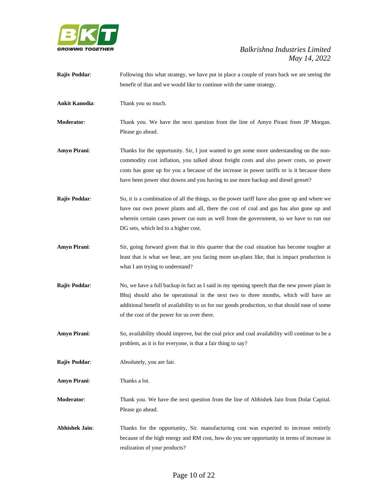

| <b>Rajiv Poddar:</b>  | Following this what strategy, we have put in place a couple of years back we are seeing the     |
|-----------------------|-------------------------------------------------------------------------------------------------|
|                       | benefit of that and we would like to continue with the same strategy.                           |
| <b>Ankit Kanodia:</b> | Thank you so much.                                                                              |
| Moderator:            | Thank you. We have the next question from the line of Amyn Pirani from JP Morgan.               |
|                       | Please go ahead.                                                                                |
| <b>Amyn Pirani:</b>   | Thanks for the opportunity. Sir, I just wanted to get some more understanding on the non-       |
|                       | commodity cost inflation, you talked about freight costs and also power costs, so power         |
|                       | costs has gone up for you a because of the increase in power tariffs or is it because there     |
|                       | have been power shut downs and you having to use more backup and diesel genset?                 |
| <b>Rajiv Poddar:</b>  | So, it is a combination of all the things, so the power tariff have also gone up and where we   |
|                       | have our own power plants and all, there the cost of coal and gas has also gone up and          |
|                       | wherein certain cases power cut outs as well from the government, so we have to run our         |
|                       | DG sets, which led to a higher cost.                                                            |
| <b>Amyn Pirani:</b>   | Sir, going forward given that in this quarter that the coal situation has become tougher at     |
|                       | least that is what we hear, are you facing more un-plans like, that is impact production is     |
|                       | what I am trying to understand?                                                                 |
| Rajiv Poddar:         | No, we have a full backup in fact as I said in my opening speech that the new power plant in    |
|                       | Bhuj should also be operational in the next two to three months, which will have an             |
|                       | additional benefit of availability to us for our goods production, so that should ease of some  |
|                       | of the cost of the power for us over there.                                                     |
| <b>Amyn Pirani:</b>   | So, availability should improve, but the coal price and coal availability will continue to be a |
|                       | problem, as it is for everyone, is that a fair thing to say?                                    |
| Rajiv Poddar:         | Absolutely, you are fair.                                                                       |
| <b>Amyn Pirani:</b>   | Thanks a lot.                                                                                   |
| Moderator:            | Thank you. We have the next question from the line of Abhishek Jain from Dolat Capital.         |
|                       | Please go ahead.                                                                                |
| <b>Abhishek Jain:</b> | Thanks for the opportunity, Sir. manufacturing cost was expected to increase entirely           |
|                       | because of the high energy and RM cost, how do you see opportunity in terms of increase in      |
|                       | realization of your products?                                                                   |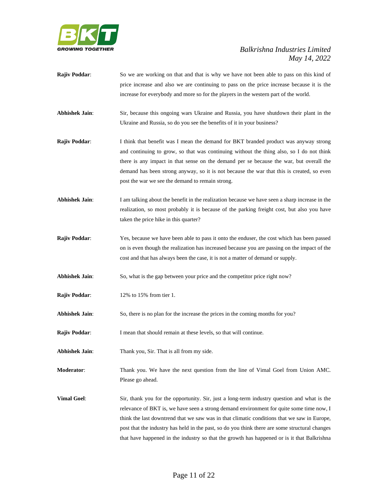

- **Rajiv Poddar:** So we are working on that and that is why we have not been able to pass on this kind of price increase and also we are continuing to pass on the price increase because it is the increase for everybody and more so for the players in the western part of the world.
- **Abhishek Jain**: Sir, because this ongoing wars Ukraine and Russia, you have shutdown their plant in the Ukraine and Russia, so do you see the benefits of it in your business?
- **Rajiv Poddar:** I think that benefit was I mean the demand for BKT branded product was anyway strong and continuing to grow, so that was continuing without the thing also, so I do not think there is any impact in that sense on the demand per se because the war, but overall the demand has been strong anyway, so it is not because the war that this is created, so even post the war we see the demand to remain strong.
- **Abhishek Jain:** I am talking about the benefit in the realization because we have seen a sharp increase in the realization, so most probably it is because of the parking freight cost, but also you have taken the price hike in this quarter?
- **Rajiv Poddar**: Yes, because we have been able to pass it onto the enduser, the cost which has been passed on is even though the realization has increased because you are passing on the impact of the cost and that has always been the case, it is not a matter of demand or supply.
- **Abhishek Jain**: So, what is the gap between your price and the competitor price right now?
- **Rajiv Poddar:** 12% to 15% from tier 1.
- **Abhishek Jain**: So, there is no plan for the increase the prices in the coming months for you?
- **Rajiv Poddar:** I mean that should remain at these levels, so that will continue.
- **Abhishek Jain**: Thank you, Sir. That is all from my side.
- **Moderator**: Thank you. We have the next question from the line of Vimal Goel from Union AMC. Please go ahead.
- **Vimal Goel:** Sir, thank you for the opportunity. Sir, just a long-term industry question and what is the relevance of BKT is, we have seen a strong demand environment for quite some time now, I think the last downtrend that we saw was in that climatic conditions that we saw in Europe, post that the industry has held in the past, so do you think there are some structural changes that have happened in the industry so that the growth has happened or is it that Balkrishna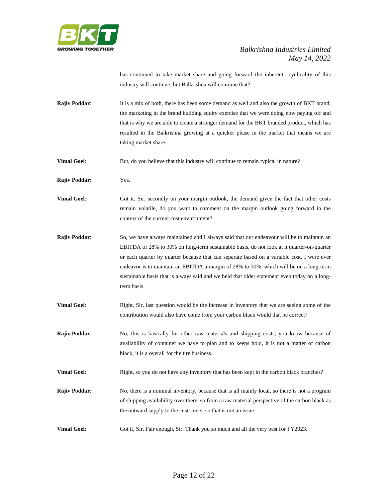

has continued to take market share and going forward the inherent cyclicality of this industry will continue, but Balkrishna will continue that?

- **Rajiv Poddar:** It is a mix of both, there has been some demand as well and also the growth of BKT brand, the marketing in the brand building equity exercise that we were doing now paying off and that is why we are able to create a stronger demand for the BKT branded product, which has resulted in the Balkrishna growing at a quicker phase in the market that means we are taking market share.
- **Vimal Goel:** But, do you believe that this industry will continue to remain typical in nature?
- **Rajiv Poddar**: Yes.
- **Vimal Goel:** Got it. Sir, secondly on your margin outlook, the demand given the fact that other costs remain volatile, do you want to comment on the margin outlook going forward in the context of the current cost environment?
- **Rajiv Poddar:** So, we have always maintained and I always said that our endeavour will be to maintain an EBITDA of 28% to 30% on long-term sustainable basis, do not look at it quarter-on-quarter or each quarter by quarter because that can separate based on a variable cost, I were ever endeavor is to maintain an EBITDA a margin of 28% to 30%, which will be on a long-term sustainable basis that is always said and we held that older statement even today on a longterm basis.
- **Vimal Goel:** Right, Sir, last question would be the increase in inventory that we are seeing some of the contribution would also have come from your carbon black would that be correct?
- **Rajiv Poddar:** No, this is basically for other raw materials and shipping costs, you know because of availability of container we have to plan and to keeps hold, it is not a matter of carbon black, it is a overall for the tire business.
- **Vimal Goel:** Right, so you do not have any inventory that has been kept in the carbon black branches?
- **Rajiv Poddar:** No, there is a nominal inventory, because that is all mainly local, so there is not a program of shipping availability over there, so from a raw material perspective of the carbon black as the outward supply to the customers, so that is not an issue.
- **Vimal Goel:** Got it, Sir. Fair enough, Sir. Thank you so much and all the very best for FY2023.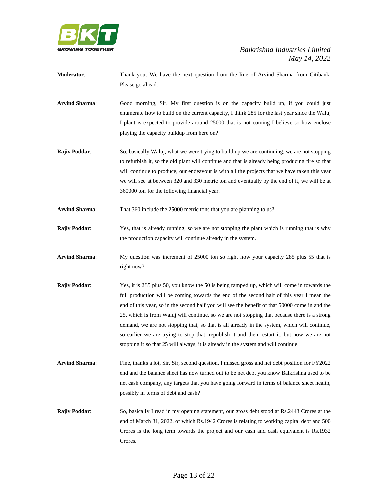

- **Moderator**: Thank you. We have the next question from the line of Arvind Sharma from Citibank. Please go ahead.
- **Arvind Sharma**: Good morning, Sir. My first question is on the capacity build up, if you could just enumerate how to build on the current capacity, I think 285 for the last year since the Waluj I plant is expected to provide around 25000 that is not coming I believe so how enclose playing the capacity buildup from here on?
- **Rajiv Poddar:** So, basically Waluj, what we were trying to build up we are continuing, we are not stopping to refurbish it, so the old plant will continue and that is already being producing tire so that will continue to produce, our endeavour is with all the projects that we have taken this year we will see at between 320 and 330 metric ton and eventually by the end of it, we will be at 360000 ton for the following financial year.
- **Arvind Sharma**: That 360 include the 25000 metric tons that you are planning to us?
- **Rajiv Poddar:** Yes, that is already running, so we are not stopping the plant which is running that is why the production capacity will continue already in the system.
- **Arvind Sharma**: My question was increment of 25000 ton so right now your capacity 285 plus 55 that is right now?
- **Rajiv Poddar**: Yes, it is 285 plus 50, you know the 50 is being ramped up, which will come in towards the full production will be coming towards the end of the second half of this year I mean the end of this year, so in the second half you will see the benefit of that 50000 come in and the 25, which is from Waluj will continue, so we are not stopping that because there is a strong demand, we are not stopping that, so that is all already in the system, which will continue, so earlier we are trying to stop that, republish it and then restart it, but now we are not stopping it so that 25 will always, it is already in the system and will continue.
- **Arvind Sharma**: Fine, thanks a lot, Sir. Sir, second question, I missed gross and net debt position for FY2022 end and the balance sheet has now turned out to be net debt you know Balkrishna used to be net cash company, any targets that you have going forward in terms of balance sheet health, possibly in terms of debt and cash?
- **Rajiv Poddar:** So, basically I read in my opening statement, our gross debt stood at Rs.2443 Crores at the end of March 31, 2022, of which Rs.1942 Crores is relating to working capital debt and 500 Crores is the long term towards the project and our cash and cash equivalent is Rs.1932 Crores.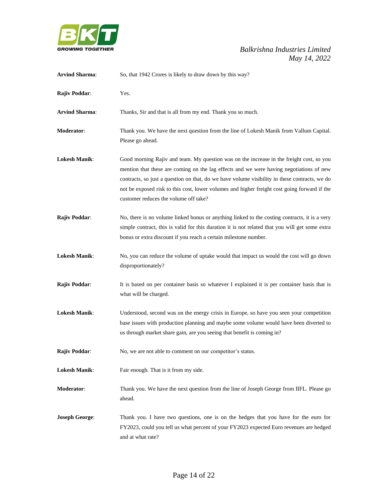

| <b>Arvind Sharma:</b> | So, that 1942 Crores is likely to draw down by this way?                                                                                                                                                                                                                                                                                                                                                                      |
|-----------------------|-------------------------------------------------------------------------------------------------------------------------------------------------------------------------------------------------------------------------------------------------------------------------------------------------------------------------------------------------------------------------------------------------------------------------------|
| Rajiv Poddar:         | Yes.                                                                                                                                                                                                                                                                                                                                                                                                                          |
| <b>Arvind Sharma:</b> | Thanks, Sir and that is all from my end. Thank you so much.                                                                                                                                                                                                                                                                                                                                                                   |
| Moderator:            | Thank you. We have the next question from the line of Lokesh Manik from Vallum Capital.<br>Please go ahead.                                                                                                                                                                                                                                                                                                                   |
| <b>Lokesh Manik:</b>  | Good morning Rajiv and team. My question was on the increase in the freight cost, so you<br>mention that these are coming on the lag effects and we were having negotiations of new<br>contracts, so just a question on that, do we have volume visibility in these contracts, we do<br>not be exposed risk to this cost, lower volumes and higher freight cost going forward if the<br>customer reduces the volume off take? |
| Rajiv Poddar:         | No, there is no volume linked bonus or anything linked to the costing contracts, it is a very<br>simple contract, this is valid for this duration it is not related that you will get some extra<br>bonus or extra discount if you reach a certain milestone number.                                                                                                                                                          |
| <b>Lokesh Manik:</b>  | No, you can reduce the volume of uptake would that impact us would the cost will go down<br>disproportionately?                                                                                                                                                                                                                                                                                                               |
| Rajiv Poddar:         | It is based on per container basis so whatever I explained it is per container basis that is<br>what will be charged.                                                                                                                                                                                                                                                                                                         |
| <b>Lokesh Manik:</b>  | Understood, second was on the energy crisis in Europe, so have you seen your competition<br>base issues with production planning and maybe some volume would have been diverted to<br>us through market share gain, are you seeing that benefit is coming in?                                                                                                                                                                 |
| Rajiv Poddar:         | No, we are not able to comment on our competitor's status.                                                                                                                                                                                                                                                                                                                                                                    |
| <b>Lokesh Manik:</b>  | Fair enough. That is it from my side.                                                                                                                                                                                                                                                                                                                                                                                         |
| Moderator:            | Thank you. We have the next question from the line of Joseph George from IIFL. Please go<br>ahead.                                                                                                                                                                                                                                                                                                                            |
| <b>Joseph George:</b> | Thank you. I have two questions, one is on the hedges that you have for the euro for<br>FY2023, could you tell us what percent of your FY2023 expected Euro revenues are hedged<br>and at what rate?                                                                                                                                                                                                                          |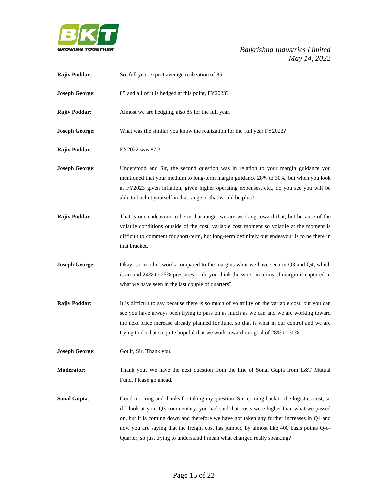

| <b>Rajiv Poddar:</b>  | So, full year expect average realization of 85.                                                                                                                                                                                                                                                                                                                                                                                                               |
|-----------------------|---------------------------------------------------------------------------------------------------------------------------------------------------------------------------------------------------------------------------------------------------------------------------------------------------------------------------------------------------------------------------------------------------------------------------------------------------------------|
| <b>Joseph George:</b> | 85 and all of it is hedged at this point, FY2023?                                                                                                                                                                                                                                                                                                                                                                                                             |
| Rajiv Poddar:         | Almost we are hedging, also 85 for the full year.                                                                                                                                                                                                                                                                                                                                                                                                             |
| <b>Joseph George:</b> | What was the similar you know the realization for the full year FY2022?                                                                                                                                                                                                                                                                                                                                                                                       |
| Rajiv Poddar:         | FY2022 was 87.3.                                                                                                                                                                                                                                                                                                                                                                                                                                              |
| <b>Joseph George:</b> | Understood and Sir, the second question was in relation to your margin guidance you<br>mentioned that your medium to long-term margin guidance 28% to 30%, but when you look<br>at FY2023 given inflation, given higher operating expenses, etc., do you see you will be<br>able to bucket yourself in that range or that would be plus?                                                                                                                      |
| Rajiv Poddar:         | That is our endeavour to be in that range, we are working toward that, but because of the<br>volatile conditions outside of the cost, variable cost moment so volatile at the moment is<br>difficult to comment for short-term, but long-term definitely our endeavour is to be there in<br>that bracket.                                                                                                                                                     |
| <b>Joseph George:</b> | Okay, so in other words compared to the margins what we have seen in $Q3$ and $Q4$ , which<br>is around 24% to 25% pressures or do you think the worst in terms of margin is captured in<br>what we have seen in the last couple of quarters?                                                                                                                                                                                                                 |
| Rajiv Poddar:         | It is difficult to say because there is so much of volatility on the variable cost, but you can<br>see you have always been trying to pass on as much as we can and we are working toward<br>the next price increase already planned for June, so that is what in our control and we are<br>trying to do that so quite hopeful that we work toward our goal of 28% to 30%.                                                                                    |
| <b>Joseph George:</b> | Got it, Sir. Thank you.                                                                                                                                                                                                                                                                                                                                                                                                                                       |
| <b>Moderator:</b>     | Thank you. We have the next question from the line of Sonal Gupta from L&T Mutual<br>Fund. Please go ahead.                                                                                                                                                                                                                                                                                                                                                   |
| <b>Sonal Gupta:</b>   | Good morning and thanks for taking my question. Sir, coming back to the logistics cost, so<br>if I look at your Q3 commentary, you had said that costs were higher than what we passed<br>on, but it is coming down and therefore we have not taken any further increases in Q4 and<br>now you are saying that the freight cost has jumped by almost like 400 basis points Q-o-<br>Quarter, so just trying to understand I mean what changed really speaking? |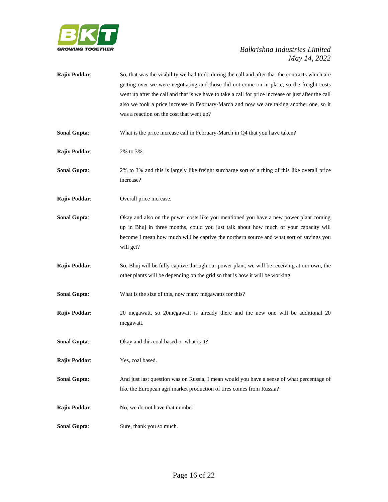

| Rajiv Poddar:        | So, that was the visibility we had to do during the call and after that the contracts which are<br>getting over we were negotiating and those did not come on in place, so the freight costs<br>went up after the call and that is we have to take a call for price increase or just after the call<br>also we took a price increase in February-March and now we are taking another one, so it<br>was a reaction on the cost that went up? |
|----------------------|---------------------------------------------------------------------------------------------------------------------------------------------------------------------------------------------------------------------------------------------------------------------------------------------------------------------------------------------------------------------------------------------------------------------------------------------|
| <b>Sonal Gupta:</b>  | What is the price increase call in February-March in Q4 that you have taken?                                                                                                                                                                                                                                                                                                                                                                |
| Rajiv Poddar:        | 2% to 3%.                                                                                                                                                                                                                                                                                                                                                                                                                                   |
| <b>Sonal Gupta:</b>  | 2% to 3% and this is largely like freight surcharge sort of a thing of this like overall price<br>increase?                                                                                                                                                                                                                                                                                                                                 |
| Rajiv Poddar:        | Overall price increase.                                                                                                                                                                                                                                                                                                                                                                                                                     |
| <b>Sonal Gupta:</b>  | Okay and also on the power costs like you mentioned you have a new power plant coming<br>up in Bhuj in three months, could you just talk about how much of your capacity will<br>become I mean how much will be captive the northern source and what sort of savings you<br>will get?                                                                                                                                                       |
| Rajiv Poddar:        | So, Bhuj will be fully captive through our power plant, we will be receiving at our own, the<br>other plants will be depending on the grid so that is how it will be working.                                                                                                                                                                                                                                                               |
| <b>Sonal Gupta:</b>  | What is the size of this, now many megawatts for this?                                                                                                                                                                                                                                                                                                                                                                                      |
| Rajiv Poddar:        | 20 megawatt, so 20 megawatt is already there and the new one will be additional 20<br>megawatt.                                                                                                                                                                                                                                                                                                                                             |
| <b>Sonal Gupta:</b>  | Okay and this coal based or what is it?                                                                                                                                                                                                                                                                                                                                                                                                     |
| Rajiv Poddar:        | Yes, coal based.                                                                                                                                                                                                                                                                                                                                                                                                                            |
| <b>Sonal Gupta:</b>  | And just last question was on Russia, I mean would you have a sense of what percentage of<br>like the European agri market production of tires comes from Russia?                                                                                                                                                                                                                                                                           |
| <b>Rajiv Poddar:</b> | No, we do not have that number.                                                                                                                                                                                                                                                                                                                                                                                                             |
| <b>Sonal Gupta:</b>  | Sure, thank you so much.                                                                                                                                                                                                                                                                                                                                                                                                                    |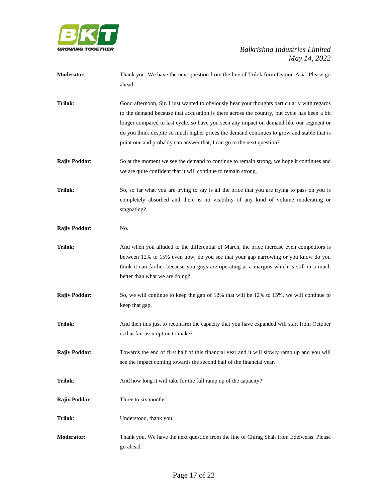

| <b>Moderator:</b> | Thank you. We have the next question from the line of Trilok form Dymon Asia. Please go |
|-------------------|-----------------------------------------------------------------------------------------|
|                   | ahead.                                                                                  |

- **Trilok**: Good afternoon, Sir. I just wanted to obviously hear your thoughts particularly with regards to the demand because that accusation is there across the country, but cycle has been a bit longer compared to last cycle, so have you seen any impact on demand like our segment or do you think despite so much higher prices the demand continues to grow and stable that is point one and probably can answer that, I can go to the next question?
- **Rajiv Poddar:** So at the moment we see the demand to continue to remain strong, we hope it continues and we are quite confident that it will continue to remain strong.
- **Trilok**: So, so far what you are trying to say is all the price that you are trying to pass on you is completely absorbed and there is no visibility of any kind of volume moderating or stagnating?
- **Rajiv Poddar:** No.
- **Trilok**: And when you alluded to the differential of March, the price increase even competitors is between 12% to 15% even now, do you see that your gap narrowing or you know do you think it can farther because you guys are operating at a margins which is still in a much better than what we are doing?
- **Rajiv Poddar:** So, we will continue to keep the gap of 12% that will be 12% to 15%, we will continue to keep that gap.
- **Trilok**: And then this just to reconfirm the capacity that you have expanded will start from October is that fair assumption to make?
- **Rajiv Poddar**: Towards the end of first half of this financial year and it will slowly ramp up and you will see the impact coming towards the second half of the financial year.
- **Trilok:** And how long it will take for the full ramp up of the capacity?
- **Rajiv Poddar:** Three to six months.
- **Trilok**: Understood, thank you.
- **Moderator**: Thank you. We have the next question from the line of Chirag Shah from Edelweiss. Please go ahead.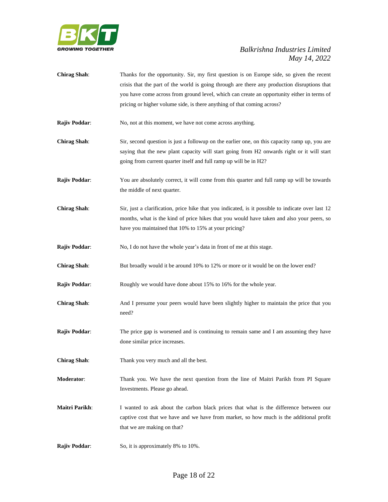

- **Chirag Shah**: Thanks for the opportunity. Sir, my first question is on Europe side, so given the recent crisis that the part of the world is going through are there any production disruptions that you have come across from ground level, which can create an opportunity either in terms of pricing or higher volume side, is there anything of that coming across?
- **Rajiv Poddar:** No, not at this moment, we have not come across anything.
- **Chirag Shah**: Sir, second question is just a followup on the earlier one, on this capacity ramp up, you are saying that the new plant capacity will start going from H2 onwards right or it will start going from current quarter itself and full ramp up will be in H2?
- **Rajiv Poddar:** You are absolutely correct, it will come from this quarter and full ramp up will be towards the middle of next quarter.
- **Chirag Shah**: Sir, just a clarification, price hike that you indicated, is it possible to indicate over last 12 months, what is the kind of price hikes that you would have taken and also your peers, so have you maintained that 10% to 15% at your pricing?

**Rajiv Poddar:** No, I do not have the whole year's data in front of me at this stage.

- **Chirag Shah:** But broadly would it be around 10% to 12% or more or it would be on the lower end?
- **Rajiv Poddar:** Roughly we would have done about 15% to 16% for the whole year.
- **Chirag Shah**: And I presume your peers would have been slightly higher to maintain the price that you need?
- **Rajiv Poddar**: The price gap is worsened and is continuing to remain same and I am assuming they have done similar price increases.
- **Chirag Shah**: Thank you very much and all the best.
- **Moderator**: Thank you. We have the next question from the line of Maitri Parikh from PI Square Investments. Please go ahead.
- **Maitri Parikh**: I wanted to ask about the carbon black prices that what is the difference between our captive cost that we have and we have from market, so how much is the additional profit that we are making on that?
- **Rajiv Poddar:** So, it is approximately 8% to 10%.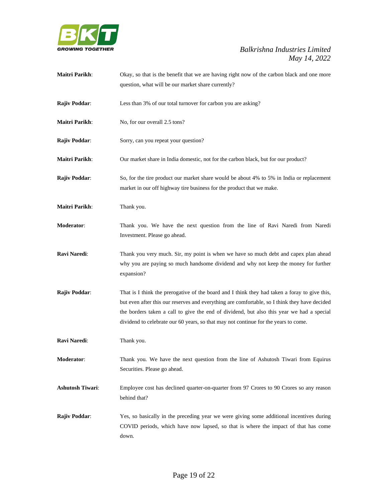

| <b>Maitri Parikh:</b>   | Okay, so that is the benefit that we are having right now of the carbon black and one more<br>question, what will be our market share currently?                                                                                                                                                                                                                                   |
|-------------------------|------------------------------------------------------------------------------------------------------------------------------------------------------------------------------------------------------------------------------------------------------------------------------------------------------------------------------------------------------------------------------------|
| Rajiv Poddar:           | Less than 3% of our total turnover for carbon you are asking?                                                                                                                                                                                                                                                                                                                      |
| <b>Maitri Parikh:</b>   | No, for our overall 2.5 tons?                                                                                                                                                                                                                                                                                                                                                      |
| Rajiv Poddar:           | Sorry, can you repeat your question?                                                                                                                                                                                                                                                                                                                                               |
| <b>Maitri Parikh:</b>   | Our market share in India domestic, not for the carbon black, but for our product?                                                                                                                                                                                                                                                                                                 |
| Rajiv Poddar:           | So, for the tire product our market share would be about 4% to 5% in India or replacement<br>market in our off highway tire business for the product that we make.                                                                                                                                                                                                                 |
| <b>Maitri Parikh:</b>   | Thank you.                                                                                                                                                                                                                                                                                                                                                                         |
| <b>Moderator:</b>       | Thank you. We have the next question from the line of Ravi Naredi from Naredi<br>Investment. Please go ahead.                                                                                                                                                                                                                                                                      |
| Ravi Naredi:            | Thank you very much. Sir, my point is when we have so much debt and capex plan ahead<br>why you are paying so much handsome dividend and why not keep the money for further<br>expansion?                                                                                                                                                                                          |
| Rajiv Poddar:           | That is I think the prerogative of the board and I think they had taken a foray to give this,<br>but even after this our reserves and everything are comfortable, so I think they have decided<br>the borders taken a call to give the end of dividend, but also this year we had a special<br>dividend to celebrate our 60 years, so that may not continue for the years to come. |
| Ravi Naredi:            | Thank you.                                                                                                                                                                                                                                                                                                                                                                         |
| Moderator:              | Thank you. We have the next question from the line of Ashutosh Tiwari from Equirus<br>Securities. Please go ahead.                                                                                                                                                                                                                                                                 |
| <b>Ashutosh Tiwari:</b> | Employee cost has declined quarter-on-quarter from 97 Crores to 90 Crores so any reason<br>behind that?                                                                                                                                                                                                                                                                            |
| Rajiv Poddar:           | Yes, so basically in the preceding year we were giving some additional incentives during<br>COVID periods, which have now lapsed, so that is where the impact of that has come<br>down.                                                                                                                                                                                            |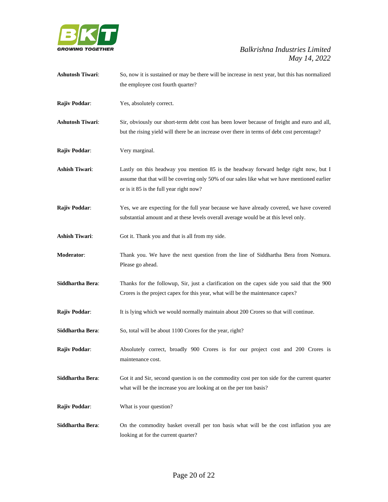

| <b>Ashutosh Tiwari:</b> | So, now it is sustained or may be there will be increase in next year, but this has normalized                                         |
|-------------------------|----------------------------------------------------------------------------------------------------------------------------------------|
|                         | the employee cost fourth quarter?                                                                                                      |
| Rajiv Poddar:           | Yes, absolutely correct.                                                                                                               |
| <b>Ashutosh Tiwari:</b> | Sir, obviously our short-term debt cost has been lower because of freight and euro and all,                                            |
|                         | but the rising yield will there be an increase over there in terms of debt cost percentage?                                            |
| Rajiv Poddar:           | Very marginal.                                                                                                                         |
| <b>Ashish Tiwari:</b>   | Lastly on this headway you mention 85 is the headway forward hedge right now, but I                                                    |
|                         | assume that that will be covering only 50% of our sales like what we have mentioned earlier<br>or is it 85 is the full year right now? |
| Rajiv Poddar:           | Yes, we are expecting for the full year because we have already covered, we have covered                                               |
|                         | substantial amount and at these levels overall average would be at this level only.                                                    |
| <b>Ashish Tiwari:</b>   | Got it. Thank you and that is all from my side.                                                                                        |
| Moderator:              | Thank you. We have the next question from the line of Siddhartha Bera from Nomura.<br>Please go ahead.                                 |
| Siddhartha Bera:        | Thanks for the followup, Sir, just a clarification on the capex side you said that the 900                                             |
|                         | Crores is the project capex for this year, what will be the maintenance capex?                                                         |
| Rajiv Poddar:           | It is lying which we would normally maintain about 200 Crores so that will continue.                                                   |
| Siddhartha Bera:        | So, total will be about 1100 Crores for the year, right?                                                                               |
| Rajiv Poddar:           | Absolutely correct, broadly 900 Crores is for our project cost and 200 Crores is<br>maintenance cost.                                  |
|                         |                                                                                                                                        |
| Siddhartha Bera:        | Got it and Sir, second question is on the commodity cost per ton side for the current quarter                                          |
|                         | what will be the increase you are looking at on the per ton basis?                                                                     |
| <b>Rajiv Poddar:</b>    | What is your question?                                                                                                                 |
| Siddhartha Bera:        | On the commodity basket overall per ton basis what will be the cost inflation you are                                                  |
|                         | looking at for the current quarter?                                                                                                    |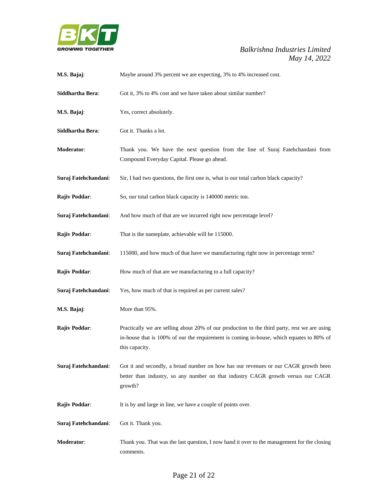

| M.S. Bajaj:          | Maybe around 3% percent we are expecting, 3% to 4% increased cost.                                                                                                                                         |
|----------------------|------------------------------------------------------------------------------------------------------------------------------------------------------------------------------------------------------------|
| Siddhartha Bera:     | Got it, 3% to 4% cost and we have taken about similar number?                                                                                                                                              |
| M.S. Bajaj:          | Yes, correct absolutely.                                                                                                                                                                                   |
| Siddhartha Bera:     | Got it. Thanks a lot.                                                                                                                                                                                      |
| Moderator:           | Thank you. We have the next question from the line of Suraj Fatehchandani from<br>Compound Everyday Capital. Please go ahead.                                                                              |
| Suraj Fatehchandani: | Sir, I had two questions, the first one is, what is our total carbon black capacity?                                                                                                                       |
| Rajiv Poddar:        | So, our total carbon black capacity is 140000 metric ton.                                                                                                                                                  |
| Suraj Fatehchandani: | And how much of that are we incurred right now percentage level?                                                                                                                                           |
| Rajiv Poddar:        | That is the nameplate, achievable will be 115000.                                                                                                                                                          |
| Suraj Fatehchandani: | 115000, and how much of that have we manufacturing right now in percentage term?                                                                                                                           |
| Rajiv Poddar:        | How much of that are we manufacturing to a full capacity?                                                                                                                                                  |
| Suraj Fatehchandani: | Yes, how much of that is required as per current sales?                                                                                                                                                    |
| M.S. Bajaj:          | More than 95%.                                                                                                                                                                                             |
| <b>Rajiv Poddar:</b> | Practically we are selling about 20% of our production to the third party, rest we are using<br>in-house that is 100% of our the requirement is coming in-house, which equates to 80% of<br>this capacity. |
| Suraj Fatehchandani: | Got it and secondly, a broad number on how has our revenues or our CAGR growth been<br>better than industry, so any number on that industry CAGR growth versus our CAGR<br>growth?                         |
| Rajiv Poddar:        | It is by and large in line, we have a couple of points over.                                                                                                                                               |
| Suraj Fatehchandani: | Got it. Thank you.                                                                                                                                                                                         |
| Moderator:           | Thank you. That was the last question, I now hand it over to the management for the closing<br>comments.                                                                                                   |